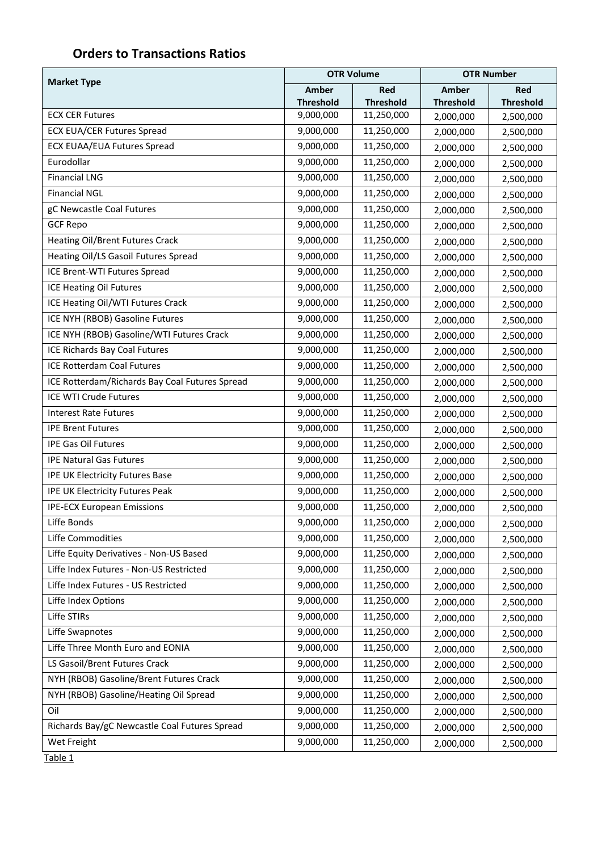## **Orders to Transactions Ratios**

|                                                | <b>OTR Volume</b> |                  | <b>OTR Number</b> |                  |
|------------------------------------------------|-------------------|------------------|-------------------|------------------|
| <b>Market Type</b>                             | Amber             | Red              | <b>Amber</b>      | Red              |
|                                                | <b>Threshold</b>  | <b>Threshold</b> | <b>Threshold</b>  | <b>Threshold</b> |
| <b>ECX CER Futures</b>                         | 9,000,000         | 11,250,000       | 2,000,000         | 2,500,000        |
| <b>ECX EUA/CER Futures Spread</b>              | 9,000,000         | 11,250,000       | 2,000,000         | 2,500,000        |
| ECX EUAA/EUA Futures Spread                    | 9,000,000         | 11,250,000       | 2,000,000         | 2,500,000        |
| Eurodollar                                     | 9,000,000         | 11,250,000       | 2,000,000         | 2,500,000        |
| <b>Financial LNG</b>                           | 9,000,000         | 11,250,000       | 2,000,000         | 2,500,000        |
| <b>Financial NGL</b>                           | 9,000,000         | 11,250,000       | 2,000,000         | 2,500,000        |
| gC Newcastle Coal Futures                      | 9,000,000         | 11,250,000       | 2,000,000         | 2,500,000        |
| <b>GCF Repo</b>                                | 9,000,000         | 11,250,000       | 2,000,000         | 2,500,000        |
| <b>Heating Oil/Brent Futures Crack</b>         | 9,000,000         | 11,250,000       | 2,000,000         | 2,500,000        |
| Heating Oil/LS Gasoil Futures Spread           | 9,000,000         | 11,250,000       | 2,000,000         | 2,500,000        |
| ICE Brent-WTI Futures Spread                   | 9,000,000         | 11,250,000       | 2,000,000         | 2,500,000        |
| <b>ICE Heating Oil Futures</b>                 | 9,000,000         | 11,250,000       | 2,000,000         | 2,500,000        |
| ICE Heating Oil/WTI Futures Crack              | 9,000,000         | 11,250,000       | 2,000,000         | 2,500,000        |
| ICE NYH (RBOB) Gasoline Futures                | 9,000,000         | 11,250,000       | 2,000,000         | 2,500,000        |
| ICE NYH (RBOB) Gasoline/WTI Futures Crack      | 9,000,000         | 11,250,000       | 2,000,000         | 2,500,000        |
| <b>ICE Richards Bay Coal Futures</b>           | 9,000,000         | 11,250,000       | 2,000,000         | 2,500,000        |
| <b>ICE Rotterdam Coal Futures</b>              | 9,000,000         | 11,250,000       | 2,000,000         | 2,500,000        |
| ICE Rotterdam/Richards Bay Coal Futures Spread | 9,000,000         | 11,250,000       | 2,000,000         | 2,500,000        |
| <b>ICE WTI Crude Futures</b>                   | 9,000,000         | 11,250,000       | 2,000,000         | 2,500,000        |
| <b>Interest Rate Futures</b>                   | 9,000,000         | 11,250,000       | 2,000,000         | 2,500,000        |
| <b>IPE Brent Futures</b>                       | 9,000,000         | 11,250,000       | 2,000,000         | 2,500,000        |
| IPE Gas Oil Futures                            | 9,000,000         | 11,250,000       | 2,000,000         | 2,500,000        |
| <b>IPE Natural Gas Futures</b>                 | 9,000,000         | 11,250,000       | 2,000,000         | 2,500,000        |
| <b>IPE UK Electricity Futures Base</b>         | 9,000,000         | 11,250,000       | 2,000,000         | 2,500,000        |
| <b>IPE UK Electricity Futures Peak</b>         | 9,000,000         | 11,250,000       | 2,000,000         | 2,500,000        |
| <b>IPE-ECX European Emissions</b>              | 9,000,000         | 11,250,000       | 2,000,000         | 2,500,000        |
| Liffe Bonds                                    | 9,000,000         | 11,250,000       | 2,000,000         | 2,500,000        |
| Liffe Commodities                              | 9,000,000         | 11,250,000       | 2,000,000         | 2,500,000        |
| Liffe Equity Derivatives - Non-US Based        | 9,000,000         | 11,250,000       | 2,000,000         | 2,500,000        |
| Liffe Index Futures - Non-US Restricted        | 9,000,000         | 11,250,000       | 2,000,000         | 2,500,000        |
| Liffe Index Futures - US Restricted            | 9,000,000         | 11,250,000       | 2,000,000         | 2,500,000        |
| Liffe Index Options                            | 9,000,000         | 11,250,000       | 2,000,000         | 2,500,000        |
| Liffe STIRs                                    | 9,000,000         | 11,250,000       | 2,000,000         | 2,500,000        |
| Liffe Swapnotes                                | 9,000,000         | 11,250,000       | 2,000,000         | 2,500,000        |
| Liffe Three Month Euro and EONIA               | 9,000,000         | 11,250,000       | 2,000,000         | 2,500,000        |
| LS Gasoil/Brent Futures Crack                  | 9,000,000         | 11,250,000       | 2,000,000         | 2,500,000        |
| NYH (RBOB) Gasoline/Brent Futures Crack        | 9,000,000         | 11,250,000       | 2,000,000         | 2,500,000        |
| NYH (RBOB) Gasoline/Heating Oil Spread         | 9,000,000         | 11,250,000       | 2,000,000         | 2,500,000        |
| Oil                                            | 9,000,000         | 11,250,000       | 2,000,000         | 2,500,000        |
| Richards Bay/gC Newcastle Coal Futures Spread  | 9,000,000         | 11,250,000       | 2,000,000         | 2,500,000        |
| Wet Freight                                    | 9,000,000         | 11,250,000       | 2,000,000         | 2,500,000        |

Table 1